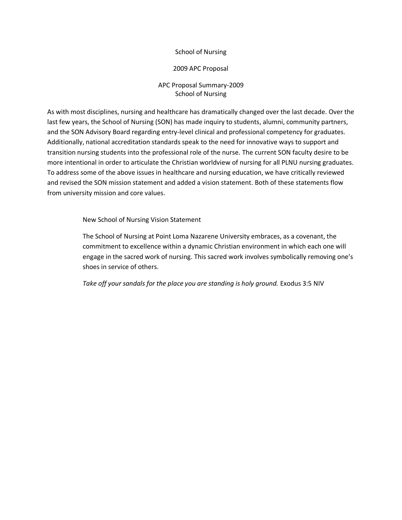## School of Nursing

## 2009 APC Proposal

## APC Proposal Summary-2009 School of Nursing

As with most disciplines, nursing and healthcare has dramatically changed over the last decade. Over the last few years, the School of Nursing (SON) has made inquiry to students, alumni, community partners, and the SON Advisory Board regarding entry-level clinical and professional competency for graduates. Additionally, national accreditation standards speak to the need for innovative ways to support and transition nursing students into the professional role of the nurse. The current SON faculty desire to be more intentional in order to articulate the Christian worldview of nursing for all PLNU nursing graduates. To address some of the above issues in healthcare and nursing education, we have critically reviewed and revised the SON mission statement and added a vision statement. Both of these statements flow from university mission and core values.

New School of Nursing Vision Statement

The School of Nursing at Point Loma Nazarene University embraces, as a covenant, the commitment to excellence within a dynamic Christian environment in which each one will engage in the sacred work of nursing. This sacred work involves symbolically removing one's shoes in service of others.

Take off your sandals for the place you are standing is holy ground. Exodus 3:5 NIV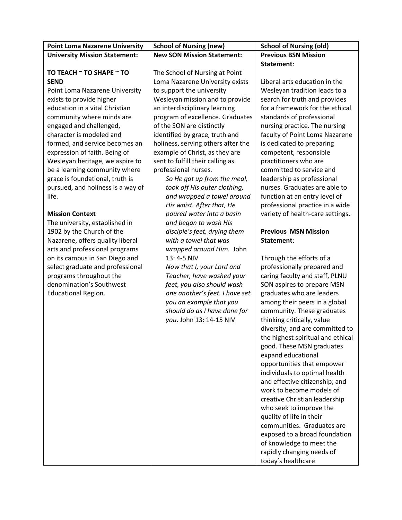| <b>Point Loma Nazarene University</b> | <b>School of Nursing (new)</b>     | <b>School of Nursing (old)</b>    |
|---------------------------------------|------------------------------------|-----------------------------------|
| <b>University Mission Statement:</b>  | <b>New SON Mission Statement:</b>  | <b>Previous BSN Mission</b>       |
|                                       |                                    | Statement:                        |
| TO TEACH ~ TO SHAPE ~ TO              | The School of Nursing at Point     |                                   |
| <b>SEND</b>                           | Loma Nazarene University exists    | Liberal arts education in the     |
| Point Loma Nazarene University        | to support the university          | Wesleyan tradition leads to a     |
| exists to provide higher              | Wesleyan mission and to provide    | search for truth and provides     |
| education in a vital Christian        | an interdisciplinary learning      | for a framework for the ethical   |
| community where minds are             | program of excellence. Graduates   | standards of professional         |
| engaged and challenged,               | of the SON are distinctly          | nursing practice. The nursing     |
| character is modeled and              | identified by grace, truth and     | faculty of Point Loma Nazarene    |
| formed, and service becomes an        | holiness, serving others after the | is dedicated to preparing         |
| expression of faith. Being of         | example of Christ, as they are     | competent, responsible            |
| Wesleyan heritage, we aspire to       | sent to fulfill their calling as   | practitioners who are             |
| be a learning community where         | professional nurses.               | committed to service and          |
| grace is foundational, truth is       | So He got up from the meal,        | leadership as professional        |
| pursued, and holiness is a way of     | took off His outer clothing,       | nurses. Graduates are able to     |
| life.                                 | and wrapped a towel around         | function at an entry level of     |
|                                       | His waist. After that, He          | professional practice in a wide   |
| <b>Mission Context</b>                | poured water into a basin          | variety of health-care settings.  |
| The university, established in        | and began to wash His              |                                   |
| 1902 by the Church of the             | disciple's feet, drying them       | <b>Previous MSN Mission</b>       |
| Nazarene, offers quality liberal      | with a towel that was              | Statement:                        |
| arts and professional programs        | wrapped around Him. John           |                                   |
| on its campus in San Diego and        | 13: 4-5 NIV                        | Through the efforts of a          |
| select graduate and professional      | Now that I, your Lord and          | professionally prepared and       |
| programs throughout the               | Teacher, have washed your          | caring faculty and staff, PLNU    |
| denomination's Southwest              | feet, you also should wash         | SON aspires to prepare MSN        |
| <b>Educational Region.</b>            | one another's feet. I have set     | graduates who are leaders         |
|                                       | you an example that you            | among their peers in a global     |
|                                       | should do as I have done for       | community. These graduates        |
|                                       | you. John 13: 14-15 NIV            | thinking critically, value        |
|                                       |                                    | diversity, and are committed to   |
|                                       |                                    | the highest spiritual and ethical |
|                                       |                                    | good. These MSN graduates         |
|                                       |                                    | expand educational                |
|                                       |                                    | opportunities that empower        |
|                                       |                                    | individuals to optimal health     |
|                                       |                                    | and effective citizenship; and    |
|                                       |                                    | work to become models of          |
|                                       |                                    | creative Christian leadership     |
|                                       |                                    | who seek to improve the           |
|                                       |                                    | quality of life in their          |
|                                       |                                    | communities. Graduates are        |
|                                       |                                    | exposed to a broad foundation     |
|                                       |                                    | of knowledge to meet the          |
|                                       |                                    | rapidly changing needs of         |
|                                       |                                    | today's healthcare                |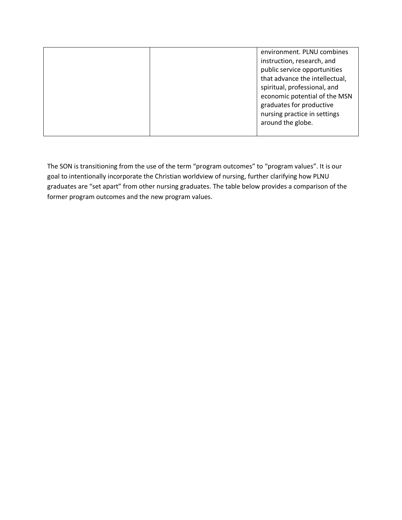| instruction, research, and<br>public service opportunities<br>that advance the intellectual,<br>spiritual, professional, and<br>economic potential of the MSN<br>graduates for productive<br>nursing practice in settings<br>around the globe. |
|------------------------------------------------------------------------------------------------------------------------------------------------------------------------------------------------------------------------------------------------|
|------------------------------------------------------------------------------------------------------------------------------------------------------------------------------------------------------------------------------------------------|

The SON is transitioning from the use of the term "program outcomes" to "program values". It is our goal to intentionally incorporate the Christian worldview of nursing, further clarifying how PLNU graduates are "set apart" from other nursing graduates. The table below provides a comparison of the former program outcomes and the new program values.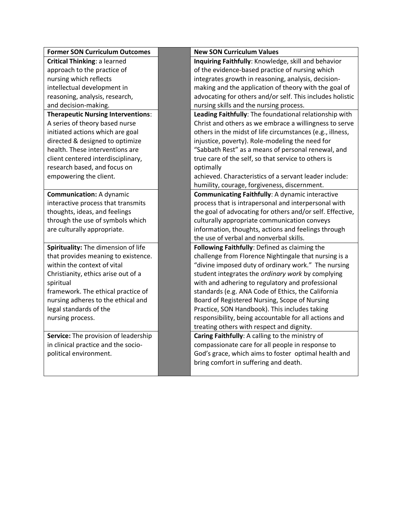| <b>Former SON Curriculum Outcomes</b>     | <b>New SON Curriculum Values</b>                          |
|-------------------------------------------|-----------------------------------------------------------|
| <b>Critical Thinking: a learned</b>       | Inquiring Faithfully: Knowledge, skill and behavior       |
| approach to the practice of               | of the evidence-based practice of nursing which           |
| nursing which reflects                    | integrates growth in reasoning, analysis, decision-       |
| intellectual development in               | making and the application of theory with the goal of     |
| reasoning, analysis, research,            | advocating for others and/or self. This includes holistic |
| and decision-making.                      | nursing skills and the nursing process.                   |
| <b>Therapeutic Nursing Interventions:</b> | Leading Faithfully: The foundational relationship with    |
| A series of theory based nurse            | Christ and others as we embrace a willingness to serve    |
| initiated actions which are goal          | others in the midst of life circumstances (e.g., illness, |
| directed & designed to optimize           | injustice, poverty). Role-modeling the need for           |
| health. These interventions are           | "Sabbath Rest" as a means of personal renewal, and        |
| client centered interdisciplinary,        | true care of the self, so that service to others is       |
| research based, and focus on              | optimally                                                 |
| empowering the client.                    | achieved. Characteristics of a servant leader include:    |
|                                           | humility, courage, forgiveness, discernment.              |
| <b>Communication: A dynamic</b>           | <b>Communicating Faithfully: A dynamic interactive</b>    |
| interactive process that transmits        | process that is intrapersonal and interpersonal with      |
| thoughts, ideas, and feelings             | the goal of advocating for others and/or self. Effective, |
| through the use of symbols which          | culturally appropriate communication conveys              |
| are culturally appropriate.               | information, thoughts, actions and feelings through       |
|                                           | the use of verbal and nonverbal skills.                   |
| Spirituality: The dimension of life       | Following Faithfully: Defined as claiming the             |
| that provides meaning to existence.       | challenge from Florence Nightingale that nursing is a     |
| within the context of vital               | "divine imposed duty of ordinary work." The nursing       |
| Christianity, ethics arise out of a       | student integrates the ordinary work by complying         |
| spiritual                                 | with and adhering to regulatory and professional          |
| framework. The ethical practice of        | standards (e.g. ANA Code of Ethics, the California        |
| nursing adheres to the ethical and        | Board of Registered Nursing, Scope of Nursing             |
| legal standards of the                    | Practice, SON Handbook). This includes taking             |
| nursing process.                          | responsibility, being accountable for all actions and     |
|                                           | treating others with respect and dignity.                 |
| Service: The provision of leadership      | Caring Faithfully: A calling to the ministry of           |
| in clinical practice and the socio-       | compassionate care for all people in response to          |
| political environment.                    | God's grace, which aims to foster optimal health and      |
|                                           | bring comfort in suffering and death.                     |
|                                           |                                                           |